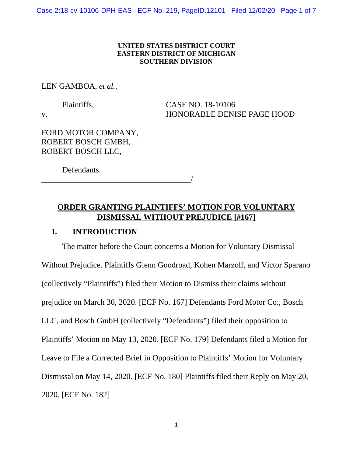Case 2:18-cv-10106-DPH-EAS ECF No. 219, PageID.12101 Filed 12/02/20 Page 1 of 7

### **UNITED STATES DISTRICT COURT EASTERN DISTRICT OF MICHIGAN SOUTHERN DIVISION**

#### LEN GAMBOA, *et al.*,

\_\_\_\_\_\_\_\_\_\_\_\_\_\_\_\_\_\_\_\_\_\_\_\_\_\_\_\_\_\_\_\_\_\_\_\_\_/

Plaintiffs, CASE NO. 18-10106 v. HONORABLE DENISE PAGE HOOD

FORD MOTOR COMPANY, ROBERT BOSCH GMBH, ROBERT BOSCH LLC,

Defendants.

# **ORDER GRANTING PLAINTIFFS' MOTION FOR VOLUNTARY DISMISSAL WITHOUT PREJUDICE [#167]**

## **I. INTRODUCTION**

The matter before the Court concerns a Motion for Voluntary Dismissal Without Prejudice. Plaintiffs Glenn Goodroad, Kohen Marzolf, and Victor Sparano (collectively "Plaintiffs") filed their Motion to Dismiss their claims without prejudice on March 30, 2020. [ECF No. 167] Defendants Ford Motor Co., Bosch LLC, and Bosch GmbH (collectively "Defendants") filed their opposition to Plaintiffs' Motion on May 13, 2020. [ECF No. 179] Defendants filed a Motion for Leave to File a Corrected Brief in Opposition to Plaintiffs' Motion for Voluntary Dismissal on May 14, 2020. [ECF No. 180] Plaintiffs filed their Reply on May 20, 2020. [ECF No. 182]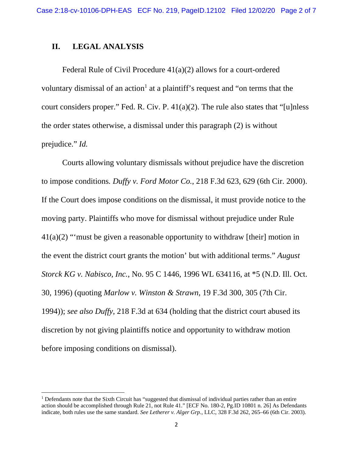## **II. LEGAL ANALYSIS**

Federal Rule of Civil Procedure 41(a)(2) allows for a court-ordered voluntary dismissal of an action<sup>1</sup> at a plaintiff's request and "on terms that the court considers proper." Fed. R. Civ. P. 41(a)(2). The rule also states that "[u]nless the order states otherwise, a dismissal under this paragraph (2) is without prejudice." *Id.* 

Courts allowing voluntary dismissals without prejudice have the discretion to impose conditions*. Duffy v. Ford Motor Co.*, 218 F.3d 623, 629 (6th Cir. 2000). If the Court does impose conditions on the dismissal, it must provide notice to the moving party. Plaintiffs who move for dismissal without prejudice under Rule  $41(a)(2)$  "'must be given a reasonable opportunity to withdraw [their] motion in the event the district court grants the motion' but with additional terms." *August Storck KG v. Nabisco, Inc.*, No. 95 C 1446, 1996 WL 634116, at \*5 (N.D. Ill. Oct. 30, 1996) (quoting *Marlow v. Winston & Strawn*, 19 F.3d 300, 305 (7th Cir. 1994)); *see also Duffy*, 218 F.3d at 634 (holding that the district court abused its discretion by not giving plaintiffs notice and opportunity to withdraw motion before imposing conditions on dismissal).

<sup>&</sup>lt;sup>1</sup> Defendants note that the Sixth Circuit has "suggested that dismissal of individual parties rather than an entire action should be accomplished through Rule 21, not Rule 41." [ECF No. 180-2, Pg.ID 10801 n. 26] As Defendants indicate, both rules use the same standard. *See Letherer v. Alger Grp.*, LLC, 328 F.3d 262, 265–66 (6th Cir. 2003).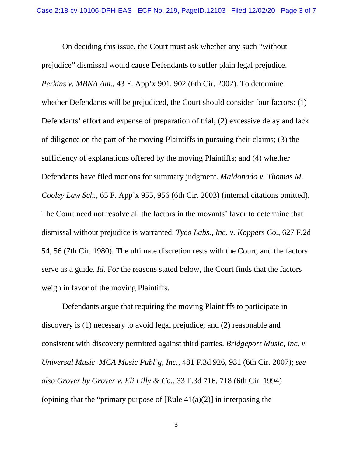On deciding this issue, the Court must ask whether any such "without prejudice" dismissal would cause Defendants to suffer plain legal prejudice. *Perkins v. MBNA Am.*, 43 F. App'x 901, 902 (6th Cir. 2002). To determine whether Defendants will be prejudiced, the Court should consider four factors: (1) Defendants' effort and expense of preparation of trial; (2) excessive delay and lack of diligence on the part of the moving Plaintiffs in pursuing their claims; (3) the sufficiency of explanations offered by the moving Plaintiffs; and (4) whether Defendants have filed motions for summary judgment. *Maldonado v. Thomas M. Cooley Law Sch.*, 65 F. App'x 955, 956 (6th Cir. 2003) (internal citations omitted). The Court need not resolve all the factors in the movants' favor to determine that dismissal without prejudice is warranted. *Tyco Labs., Inc. v. Koppers Co.*, 627 F.2d 54, 56 (7th Cir. 1980). The ultimate discretion rests with the Court, and the factors serve as a guide. *Id.* For the reasons stated below, the Court finds that the factors weigh in favor of the moving Plaintiffs.

Defendants argue that requiring the moving Plaintiffs to participate in discovery is (1) necessary to avoid legal prejudice; and (2) reasonable and consistent with discovery permitted against third parties. *Bridgeport Music, Inc. v. Universal Music–MCA Music Publ'g, Inc.*, 481 F.3d 926, 931 (6th Cir. 2007); *see also Grover by Grover v. Eli Lilly & Co.*, 33 F.3d 716, 718 (6th Cir. 1994) (opining that the "primary purpose of  $[Rule 41(a)(2)]$  in interposing the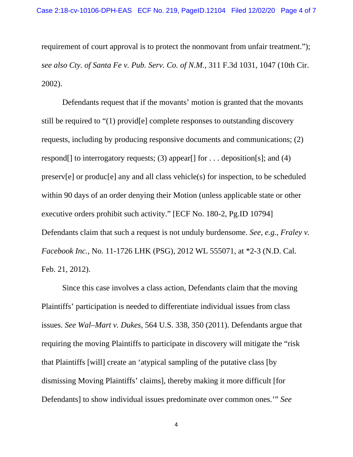requirement of court approval is to protect the nonmovant from unfair treatment."); *see also Cty. of Santa Fe v. Pub. Serv. Co. of N.M.*, 311 F.3d 1031, 1047 (10th Cir. 2002).

Defendants request that if the movants' motion is granted that the movants still be required to "(1) provid[e] complete responses to outstanding discovery requests, including by producing responsive documents and communications; (2) respond [] to interrogatory requests; (3) appear  $[$  for  $\ldots$  deposition  $[s]$ ; and (4) preserv[e] or produc[e] any and all class vehicle(s) for inspection, to be scheduled within 90 days of an order denying their Motion (unless applicable state or other executive orders prohibit such activity." [ECF No. 180-2, Pg.ID 10794] Defendants claim that such a request is not unduly burdensome. *See, e.g.*, *Fraley v. Facebook Inc.*, No. 11-1726 LHK (PSG), 2012 WL 555071, at \*2-3 (N.D. Cal. Feb. 21, 2012).

Since this case involves a class action, Defendants claim that the moving Plaintiffs' participation is needed to differentiate individual issues from class issues. *See Wal–Mart v. Dukes*, 564 U.S. 338, 350 (2011). Defendants argue that requiring the moving Plaintiffs to participate in discovery will mitigate the "risk that Plaintiffs [will] create an 'atypical sampling of the putative class [by dismissing Moving Plaintiffs' claims], thereby making it more difficult [for Defendants] to show individual issues predominate over common ones.'" *See* 

4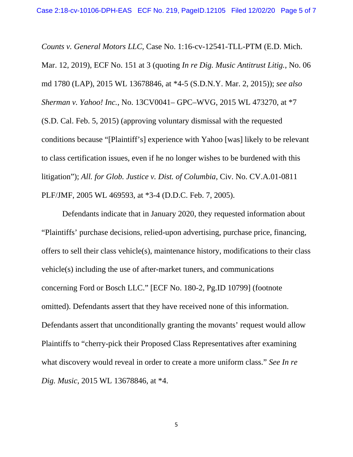*Counts v. General Motors LLC*, Case No. 1:16-cv-12541-TLL-PTM (E.D. Mich. Mar. 12, 2019), ECF No. 151 at 3 (quoting *In re Dig. Music Antitrust Litig.*, No. 06 md 1780 (LAP), 2015 WL 13678846, at \*4-5 (S.D.N.Y. Mar. 2, 2015)); *see also Sherman v. Yahoo! Inc.*, No. 13CV0041– GPC–WVG, 2015 WL 473270, at \*7 (S.D. Cal. Feb. 5, 2015) (approving voluntary dismissal with the requested conditions because "[Plaintiff's] experience with Yahoo [was] likely to be relevant to class certification issues, even if he no longer wishes to be burdened with this litigation"); *All. for Glob. Justice v. Dist. of Columbia*, Civ. No. CV.A.01-0811 PLF/JMF, 2005 WL 469593, at \*3-4 (D.D.C. Feb. 7, 2005).

Defendants indicate that in January 2020, they requested information about "Plaintiffs' purchase decisions, relied-upon advertising, purchase price, financing, offers to sell their class vehicle(s), maintenance history, modifications to their class vehicle(s) including the use of after-market tuners, and communications concerning Ford or Bosch LLC." [ECF No. 180-2, Pg.ID 10799] (footnote omitted). Defendants assert that they have received none of this information. Defendants assert that unconditionally granting the movants' request would allow Plaintiffs to "cherry-pick their Proposed Class Representatives after examining what discovery would reveal in order to create a more uniform class." *See In re Dig. Music*, 2015 WL 13678846, at \*4.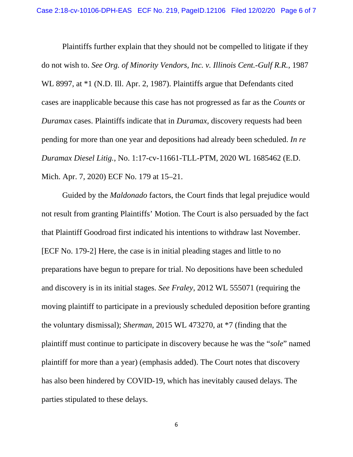Plaintiffs further explain that they should not be compelled to litigate if they do not wish to. *See Org. of Minority Vendors, Inc. v. Illinois Cent.-Gulf R.R.*, 1987 WL 8997, at \*1 (N.D. Ill. Apr. 2, 1987). Plaintiffs argue that Defendants cited cases are inapplicable because this case has not progressed as far as the *Counts* or *Duramax* cases. Plaintiffs indicate that in *Duramax*, discovery requests had been pending for more than one year and depositions had already been scheduled. *In re Duramax Diesel Litig.*, No. 1:17-cv-11661-TLL-PTM, 2020 WL 1685462 (E.D. Mich. Apr. 7, 2020) ECF No. 179 at 15–21.

Guided by the *Maldonado* factors, the Court finds that legal prejudice would not result from granting Plaintiffs' Motion. The Court is also persuaded by the fact that Plaintiff Goodroad first indicated his intentions to withdraw last November. [ECF No. 179-2] Here, the case is in initial pleading stages and little to no preparations have begun to prepare for trial. No depositions have been scheduled and discovery is in its initial stages. *See Fraley*, 2012 WL 555071 (requiring the moving plaintiff to participate in a previously scheduled deposition before granting the voluntary dismissal); *Sherman*, 2015 WL 473270, at \*7 (finding that the plaintiff must continue to participate in discovery because he was the "*sole*" named plaintiff for more than a year) (emphasis added). The Court notes that discovery has also been hindered by COVID-19, which has inevitably caused delays. The parties stipulated to these delays.